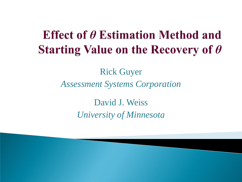#### **Effect of**  $\theta$  **Estimation Method and** Starting Value on the Recovery of  $\theta$

#### Rick Guyer *Assessment Systems Corporation*

David J. Weiss *University of Minnesota*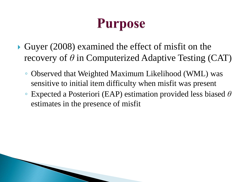### **Purpose**

- Guyer (2008) examined the effect of misfit on the recovery of *θ* in Computerized Adaptive Testing (CAT)
	- Observed that Weighted Maximum Likelihood (WML) was sensitive to initial item difficulty when misfit was present
	- Expected a Posteriori (EAP) estimation provided less biased *θ* estimates in the presence of misfit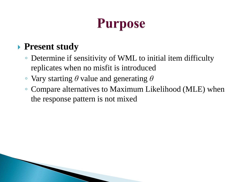# **Purpose**

#### **Present study**

- Determine if sensitivity of WML to initial item difficulty replicates when no misfit is introduced
- Vary starting *θ* value and generating *θ*
- Compare alternatives to Maximum Likelihood (MLE) when the response pattern is not mixed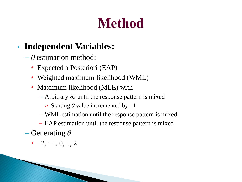# **Method**

#### • **Independent Variables:**

- $-\theta$  estimation method:
	- Expected a Posteriori (EAP)
	- Weighted maximum likelihood (WML)
	- Maximum likelihood (MLE) with
		- $-$  Arbitrary  $\theta$ s until the response pattern is mixed
			- » Starting *θ* value incremented by 1
		- WML estimation until the response pattern is mixed
		- EAP estimation until the response pattern is mixed
- Generating *θ*
	- $\cdot$  -2, -1, 0, 1, 2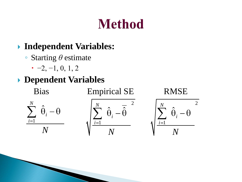# **Method**

#### **Independent Variables:**

- Starting *θ* estimate
	- $-2, -1, 0, 1, 2$

#### **Dependent Variables**

 $\hat{\Theta}$ 

*i*

*N*

1

*i*

*N*

Bias Empirical SE RMSE



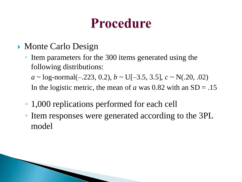### **Procedure**

- Monte Carlo Design
	- Item parameters for the 300 items generated using the following distributions:

 $a \sim$  log-normal(-.223, 0.2),  $b \sim$  U[-3.5, 3.5],  $c \sim N(.20, .02)$ In the logistic metric, the mean of *a* was 0.82 with an  $SD = .15$ 

- 1,000 replications performed for each cell
- Item responses were generated according to the 3PL model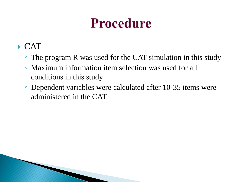### **Procedure**

- $\triangleright$  CAT
	- The program R was used for the CAT simulation in this study
	- Maximum information item selection was used for all conditions in this study
	- Dependent variables were calculated after 10-35 items were administered in the CAT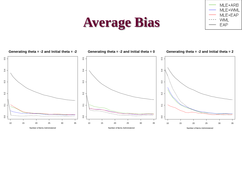

#### **Average Bias**

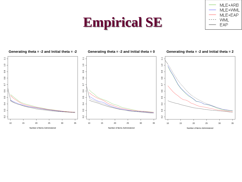### **Empirical SE**

MLE+ARB MLE+WML MLE+EAP **WML** EAP

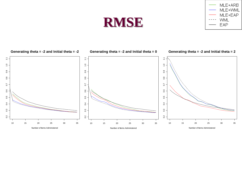#### **RMSE**



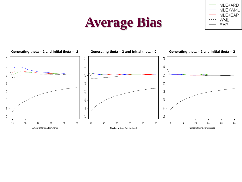### **Average Bias**

![](_page_10_Figure_1.jpeg)

![](_page_10_Figure_2.jpeg)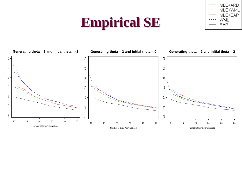### **Empirical SE**

![](_page_11_Figure_1.jpeg)

![](_page_11_Figure_2.jpeg)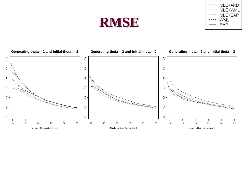![](_page_12_Picture_0.jpeg)

![](_page_12_Figure_1.jpeg)

![](_page_12_Figure_2.jpeg)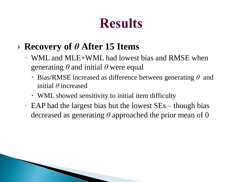### **Results**

#### **Recovery of** *θ* **After 15 Items**

- WML and MLE+WML had lowest bias and RMSE when generating *θ* and initial *θ* were equal
	- Bias/RMSE increased as difference between generating *θ* and initial *θ* increased
	- WML showed sensitivity to initial item difficulty
- EAP had the largest bias but the lowest SEs though bias decreased as generating *θ* approached the prior mean of 0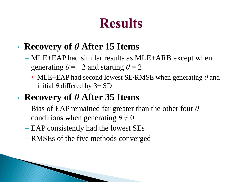### **Results**

#### • **Recovery of** *θ* **After 15 Items**

- MLE+EAP had similar results as MLE+ARB except when generating  $\theta = -2$  and starting  $\theta = 2$ 
	- MLE+EAP had second lowest SE/RMSE when generating *θ* and initial  $\theta$  differed by 3+ SD

#### • **Recovery of** *θ* **After 35 Items**

- Bias of EAP remained far greater than the other four *θ* conditions when generating  $\theta \neq 0$
- EAP consistently had the lowest SEs
- RMSEs of the five methods converged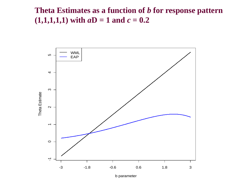#### **Theta Estimates as a function of** *b* **for response pattern**  $(1,1,1,1,1)$  with  $aD = 1$  and  $c = 0.2$

![](_page_15_Figure_1.jpeg)

b parameter